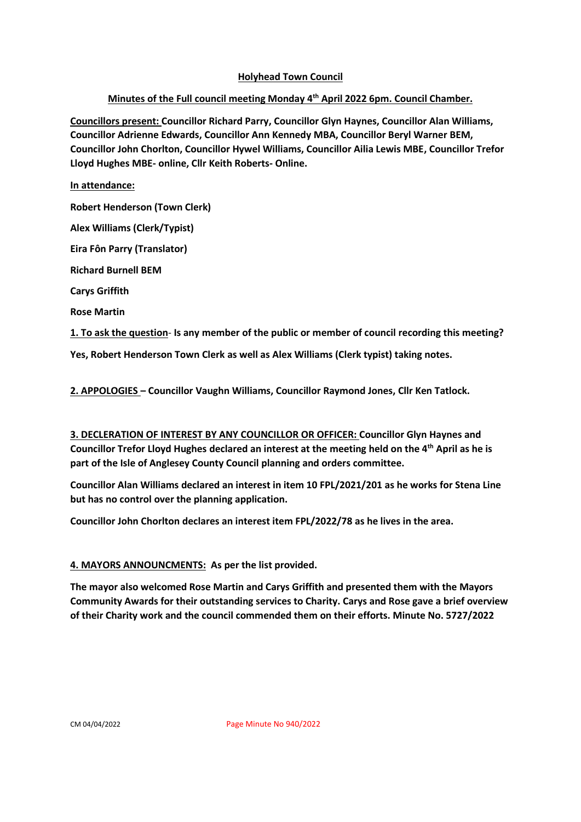### **Holyhead Town Council**

# **Minutes of the Full council meeting Monday 4th April 2022 6pm. Council Chamber.**

**Councillors present: Councillor Richard Parry, Councillor Glyn Haynes, Councillor Alan Williams, Councillor Adrienne Edwards, Councillor Ann Kennedy MBA, Councillor Beryl Warner BEM, Councillor John Chorlton, Councillor Hywel Williams, Councillor Ailia Lewis MBE, Councillor Trefor Lloyd Hughes MBE- online, Cllr Keith Roberts- Online.**

**In attendance:** 

**Robert Henderson (Town Clerk)** 

**Alex Williams (Clerk/Typist)** 

**Eira Fôn Parry (Translator)**

**Richard Burnell BEM**

**Carys Griffith** 

**Rose Martin**

**1. To ask the question**- **Is any member of the public or member of council recording this meeting?**

**Yes, Robert Henderson Town Clerk as well as Alex Williams (Clerk typist) taking notes.** 

**2. APPOLOGIES – Councillor Vaughn Williams, Councillor Raymond Jones, Cllr Ken Tatlock.**

**3. DECLERATION OF INTEREST BY ANY COUNCILLOR OR OFFICER: Councillor Glyn Haynes and Councillor Trefor Lloyd Hughes declared an interest at the meeting held on the 4th April as he is part of the Isle of Anglesey County Council planning and orders committee.** 

**Councillor Alan Williams declared an interest in item 10 FPL/2021/201 as he works for Stena Line but has no control over the planning application.** 

**Councillor John Chorlton declares an interest item FPL/2022/78 as he lives in the area.** 

# **4. MAYORS ANNOUNCMENTS: As per the list provided.**

**The mayor also welcomed Rose Martin and Carys Griffith and presented them with the Mayors Community Awards for their outstanding services to Charity. Carys and Rose gave a brief overview of their Charity work and the council commended them on their efforts. Minute No. 5727/2022**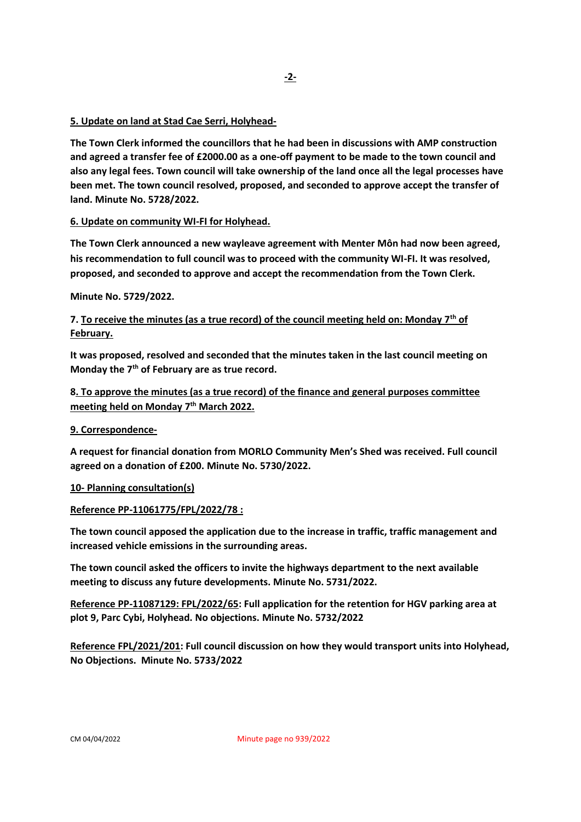### **5. Update on land at Stad Cae Serri, Holyhead-**

**The Town Clerk informed the councillors that he had been in discussions with AMP construction and agreed a transfer fee of £2000.00 as a one-off payment to be made to the town council and also any legal fees. Town council will take ownership of the land once all the legal processes have been met. The town council resolved, proposed, and seconded to approve accept the transfer of land. Minute No. 5728/2022.**

### **6. Update on community WI-FI for Holyhead.**

**The Town Clerk announced a new wayleave agreement with Menter Môn had now been agreed, his recommendation to full council was to proceed with the community WI-FI. It was resolved, proposed, and seconded to approve and accept the recommendation from the Town Clerk.** 

#### **Minute No. 5729/2022.**

## **7. To receive the minutes (as a true record) of the council meeting held on: Monday 7th of February.**

**It was proposed, resolved and seconded that the minutes taken in the last council meeting on Monday the 7th of February are as true record.** 

### **8. To approve the minutes (as a true record) of the finance and general purposes committee meeting held on Monday 7th March 2022.**

#### **9. Correspondence-**

**A request for financial donation from MORLO Community Men's Shed was received. Full council agreed on a donation of £200. Minute No. 5730/2022.**

#### **10- Planning consultation(s)**

#### **Reference PP-11061775/FPL/2022/78 :**

**The town council apposed the application due to the increase in traffic, traffic management and increased vehicle emissions in the surrounding areas.** 

**The town council asked the officers to invite the highways department to the next available meeting to discuss any future developments. Minute No. 5731/2022.** 

**Reference PP-11087129: FPL/2022/65: Full application for the retention for HGV parking area at plot 9, Parc Cybi, Holyhead. No objections. Minute No. 5732/2022**

**Reference FPL/2021/201: Full council discussion on how they would transport units into Holyhead, No Objections. Minute No. 5733/2022**